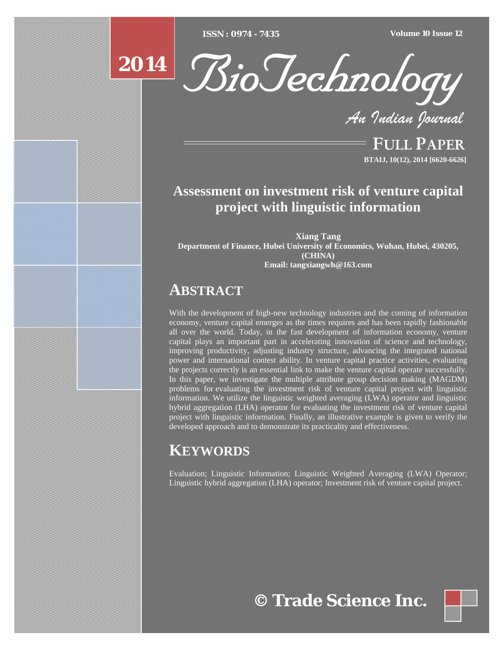[Type text] [Type text] [Type text] *ISSN : 0974 - 7435 Volume 10 Issue 12*



*An Indian Journal*

FULL PAPER **BTAIJ, 10(12), 2014 [6620-6626]**

# **Assessment on investment risk of venture capital project with linguistic information**

**Xiang Tang Department of Finance, Hubei University of Economics, Wuhan, Hubei, 430205, (CHINA) Email: tangxiangwh@163.com** 

# **ABSTRACT**

With the development of high-new technology industries and the coming of information economy, venture capital emerges as the times requires and has been rapidly fashionable all over the world. Today, in the fast development of information economy, venture capital plays an important part in accelerating innovation of science and technology, improving productivity, adjusting industry structure, advancing the integrated national power and international contest ability. In venture capital practice activities, evaluating the projects correctly is an essential link to make the venture capital operate successfully. In this paper, we investigate the multiple attribute group decision making (MAGDM) problems for evaluating the investment risk of venture capital project with linguistic information. We utilize the linguistic weighted averaging  $(LWA)$  operator and linguistic hybrid aggregation (LHA) operator for evaluating the investment risk of venture capital project with linguistic information. Finally, an illustrative example is given to verify the developed approach and to demonstrate its practicality and effectiveness.

# **KEYWORDS**

Evaluation; Linguistic Information; Linguistic Weighted Averaging (LWA) Operator; Linguistic hybrid aggregation (LHA) operator; Investment risk of venture capital project.



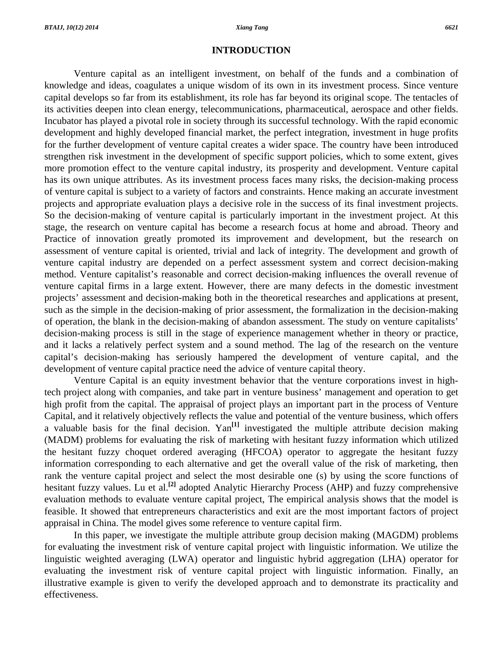## **INTRODUCTION**

 Venture capital as an intelligent investment, on behalf of the funds and a combination of knowledge and ideas, coagulates a unique wisdom of its own in its investment process. Since venture capital develops so far from its establishment, its role has far beyond its original scope. The tentacles of its activities deepen into clean energy, telecommunications, pharmaceutical, aerospace and other fields. Incubator has played a pivotal role in society through its successful technology. With the rapid economic development and highly developed financial market, the perfect integration, investment in huge profits for the further development of venture capital creates a wider space. The country have been introduced strengthen risk investment in the development of specific support policies, which to some extent, gives more promotion effect to the venture capital industry, its prosperity and development. Venture capital has its own unique attributes. As its investment process faces many risks, the decision-making process of venture capital is subject to a variety of factors and constraints. Hence making an accurate investment projects and appropriate evaluation plays a decisive role in the success of its final investment projects. So the decision-making of venture capital is particularly important in the investment project. At this stage, the research on venture capital has become a research focus at home and abroad. Theory and Practice of innovation greatly promoted its improvement and development, but the research on assessment of venture capital is oriented, trivial and lack of integrity. The development and growth of venture capital industry are depended on a perfect assessment system and correct decision-making method. Venture capitalist's reasonable and correct decision-making influences the overall revenue of venture capital firms in a large extent. However, there are many defects in the domestic investment projects' assessment and decision-making both in the theoretical researches and applications at present, such as the simple in the decision-making of prior assessment, the formalization in the decision-making of operation, the blank in the decision-making of abandon assessment. The study on venture capitalists' decision-making process is still in the stage of experience management whether in theory or practice, and it lacks a relatively perfect system and a sound method. The lag of the research on the venture capital's decision-making has seriously hampered the development of venture capital, and the development of venture capital practice need the advice of venture capital theory.

 Venture Capital is an equity investment behavior that the venture corporations invest in hightech project along with companies, and take part in venture business' management and operation to get high profit from the capital. The appraisal of project plays an important part in the process of Venture Capital, and it relatively objectively reflects the value and potential of the venture business, which offers a valuable basis for the final decision. Yan**[1]** investigated the multiple attribute decision making (MADM) problems for evaluating the risk of marketing with hesitant fuzzy information which utilized the hesitant fuzzy choquet ordered averaging (HFCOA) operator to aggregate the hesitant fuzzy information corresponding to each alternative and get the overall value of the risk of marketing, then rank the venture capital project and select the most desirable one (s) by using the score functions of hesitant fuzzy values. Lu et al.**[2]** adopted Analytic Hierarchy Process (AHP) and fuzzy comprehensive evaluation methods to evaluate venture capital project, The empirical analysis shows that the model is feasible. It showed that entrepreneurs characteristics and exit are the most important factors of project appraisal in China. The model gives some reference to venture capital firm.

 In this paper, we investigate the multiple attribute group decision making (MAGDM) problems for evaluating the investment risk of venture capital project with linguistic information. We utilize the linguistic weighted averaging (LWA) operator and linguistic hybrid aggregation (LHA) operator for evaluating the investment risk of venture capital project with linguistic information. Finally, an illustrative example is given to verify the developed approach and to demonstrate its practicality and effectiveness.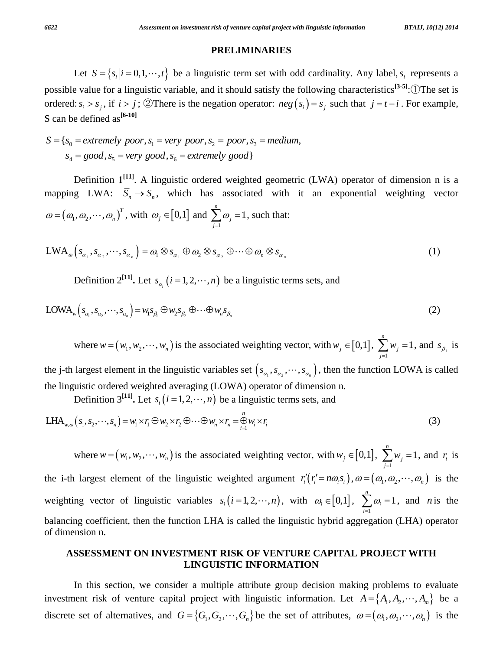# **PRELIMINARIES**

Let  $S = \{s_i | i = 0, 1, \dots, t\}$  be a linguistic term set with odd cardinality. Any label,  $s_i$  represents a possible value for a linguistic variable, and it should satisfy the following characteristics**[3-5]**:①The set is ordered:  $s_i > s_j$ , if  $i > j$ ; ②There is the negation operator:  $neg(s_i) = s_j$  such that  $j = t - i$ . For example, S can be defined as**[6-10]**

$$
S = \{s_0 = extremely\ poor, s_1 = very\ poor, s_2 = poor, s_3 = medium, s_4 = good, s_5 = very\ good, s_6 = extremely\ good\}
$$

 Definition 1**[11]**. A linguistic ordered weighted geometric (LWA) operator of dimension n is a mapping LWA:  $\overline{S}_n \to S_n$ , which has associated with it an exponential weighting vector  $\omega = (\omega_1, \omega_2, \cdots, \omega_n)^T$ , with  $\omega_j \in [0,1]$  and 1 1 *n j j* ω  $\sum_{j=1}^{\infty} \omega_j = 1$ , such that:

$$
LWA_{\omega}\left(s_{\alpha_1}, s_{\alpha_2}, \cdots, s_{\alpha_n}\right) = \omega_1 \otimes s_{\alpha_1} \oplus \omega_2 \otimes s_{\alpha_2} \oplus \cdots \oplus \omega_n \otimes s_{\alpha_n}
$$
\n(1)

Definition  $2^{[11]}$ . Let  $s_{\alpha_i}$   $(i = 1, 2, \dots, n)$  be a linguistic terms sets, and

$$
LOWA_w(s_{\alpha_1}, s_{\alpha_2}, \cdots, s_{\alpha_n}) = w_1 s_{\beta_1} \oplus w_2 s_{\beta_2} \oplus \cdots \oplus w_n s_{\beta_n}
$$
\n
$$
(2)
$$

where  $w = (w_1, w_2, \dots, w_n)$  is the associated weighting vector, with  $w_j \in [0,1]$ ,  $\sum_{j=1}^N w_j = 1$ *n j j w*  $\sum_{j=1}$   $w_j = 1$ , and  $s_{\beta_j}$  is

the j-th largest element in the linguistic variables set  $(s_{\alpha_1}, s_{\alpha_2}, \dots, s_{\alpha_n})$ , then the function LOWA is called the linguistic ordered weighted averaging (LOWA) operator of dimension n.

Definition 3<sup>[11]</sup>. Let  $s_i$  ( $i = 1, 2, \dots, n$ ) be a linguistic terms sets, and

$$
\text{LHA}_{w,\omega}(s_1, s_2, \cdots, s_n) = w_1 \times r_1 \oplus w_2 \times r_2 \oplus \cdots \oplus w_n \times r_n = \bigoplus_{i=1}^n w_i \times r_i
$$
\n(3)

where  $w = (w_1, w_2, \dots, w_n)$  is the associated weighting vector, with  $w_j \in [0,1]$ ,  $\sum_{j=1}^N w_j = 1$ *n j j w*  $\sum_{j=1}$   $w_j = 1$ , and  $r_i$  is the i-th largest element of the linguistic weighted argument  $r'_i(r'_i = n\omega_i s_i)$ ,  $\omega = (\omega_1, \omega_2, \dots, \omega_n)$  is the weighting vector of linguistic variables  $s_i (i = 1, 2, \dots, n)$ , with  $\omega_i \in [0, 1]$ ,  $\sum_{i=1}^n \omega_i = 1$ *n i i* ω  $\sum_{i=1}^{\infty} \omega_i = 1$ , and *n* is the balancing coefficient, then the function LHA is called the linguistic hybrid aggregation (LHA) operator of dimension n.

# **ASSESSMENT ON INVESTMENT RISK OF VENTURE CAPITAL PROJECT WITH LINGUISTIC INFORMATION**

 In this section, we consider a multiple attribute group decision making problems to evaluate investment risk of venture capital project with linguistic information. Let  $A = \{A_1, A_2, \dots, A_m\}$  be a discrete set of alternatives, and  $G = \{G_1, G_2, \dots, G_n\}$  be the set of attributes,  $\omega = (\omega_1, \omega_2, \dots, \omega_n)$  is the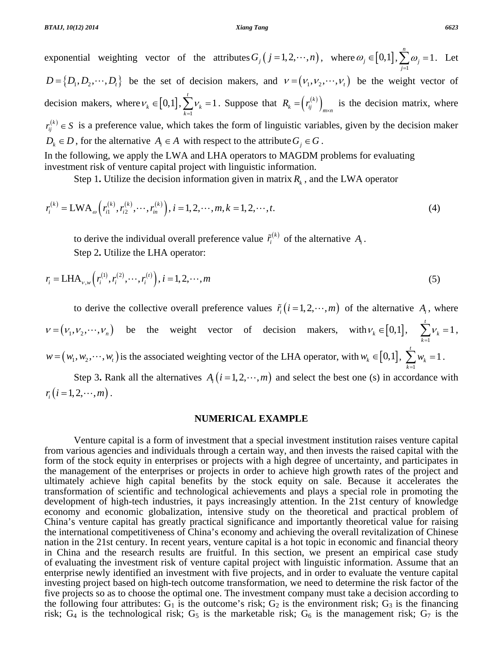exponential weighting vector of the attributes  $G_j (j = 1, 2, \dots, n)$ , where  $\omega_j \in [0,1]$ , 1 1 *n j j* ω  $\sum_{j=1}^{\infty} \omega_j = 1$ . Let  $D = \{D_1, D_2, \dots, D_t\}$  be the set of decision makers, and  $v = (v_1, v_2, \dots, v_t)$  be the weight vector of decision makers, where  $v_k \in [0,1]$ , 1 1 *t k k* ν  $\sum_{k=1} V_k = 1$ . Suppose that  $R_k = \left( r_{ij}^{(k)} \right)_{m \times n}$  is the decision matrix, where  $r_{ij}^{(k)} \in S$  is a preference value, which takes the form of linguistic variables, given by the decision maker *D<sub>k</sub>*  $\in$  *D*, for the alternative  $A_i \in A$  with respect to the attribute  $G_i \in G$ . In the following, we apply the LWA and LHA operators to MAGDM problems for evaluating

investment risk of venture capital project with linguistic information.

Step 1. Utilize the decision information given in matrix  $R_k$ , and the LWA operator

$$
r_i^{(k)} = \text{LWA}_\omega\left(r_{i1}^{(k)}, r_{i2}^{(k)}, \cdots, r_{in}^{(k)}\right), i = 1, 2, \cdots, m, k = 1, 2, \cdots, t.
$$
 (4)

to derive the individual overall preference value  $\tilde{r}_i^{(k)}$  of the alternative  $A_i$ . Step 2**.** Utilize the LHA operator:

$$
r_i = \text{LHA}_{\nu, w} \left( r_i^{(1)}, r_i^{(2)}, \cdots, r_i^{(t)} \right), i = 1, 2, \cdots, m
$$
 (5)

to derive the collective overall preference values  $\tilde{r}_i (i = 1, 2, \dots, m)$  of the alternative  $A_i$ , where  $v = (v_1, v_2, \dots, v_n)$  be the weight vector of decision makers, with  $v_k \in [0,1]$ ,  $\sum_{k=1}^{n} v_k = 1$ *t k k* ν  $\sum_{k=1}^{n}$  $v_k = 1$ ,  $w = (w_1, w_2, \dots, w_t)$  is the associated weighting vector of the LHA operator, with  $w_k \in [0,1]$ ,  $\sum_{k=1} w_k = 1$ *t k k w*  $\sum_{k=1} w_k = 1$ .

Step 3. Rank all the alternatives  $A_i$  ( $i = 1, 2, \dots, m$ ) and select the best one (s) in accordance with  $r_i$   $(i = 1, 2, \cdots, m)$ .

## **NUMERICAL EXAMPLE**

 Venture capital is a form of investment that a special investment institution raises venture capital from various agencies and individuals through a certain way, and then invests the raised capital with the form of the stock equity in enterprises or projects with a high degree of uncertainty, and participates in the management of the enterprises or projects in order to achieve high growth rates of the project and ultimately achieve high capital benefits by the stock equity on sale. Because it accelerates the transformation of scientific and technological achievements and plays a special role in promoting the development of high-tech industries, it pays increasingly attention. In the 21st century of knowledge economy and economic globalization, intensive study on the theoretical and practical problem of China's venture capital has greatly practical significance and importantly theoretical value for raising the international competitiveness of China's economy and achieving the overall revitalization of Chinese nation in the 21st century. In recent years, venture capital is a hot topic in economic and financial theory in China and the research results are fruitful. In this section, we present an empirical case study of evaluating the investment risk of venture capital project with linguistic information. Assume that an enterprise newly identified an investment with five projects, and in order to evaluate the venture capital investing project based on high-tech outcome transformation, we need to determine the risk factor of the five projects so as to choose the optimal one. The investment company must take a decision according to the following four attributes:  $G_1$  is the outcome's risk;  $G_2$  is the environment risk;  $G_3$  is the financing risk;  $G_4$  is the technological risk;  $G_5$  is the marketable risk;  $G_6$  is the management risk;  $G_7$  is the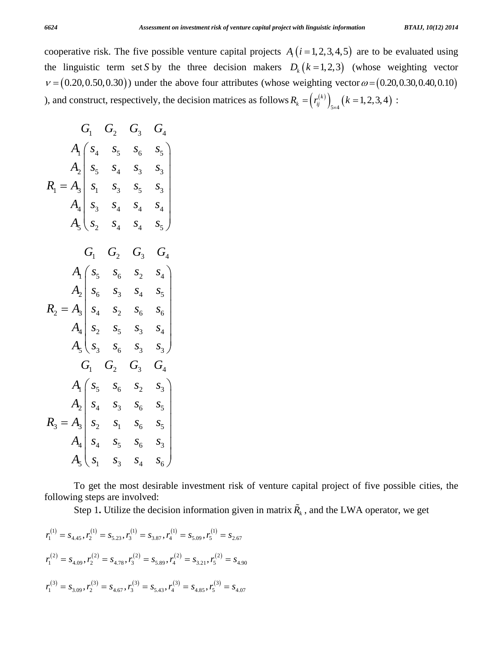cooperative risk. The five possible venture capital projects  $A_i$  ( $i = 1, 2, 3, 4, 5$ ) are to be evaluated using the linguistic term set *S* by the three decision makers  $D_k (k = 1, 2, 3)$  (whose weighting vector  $v = (0.20, 0.50, 0.30)$  under the above four attributes (whose weighting vector  $\omega = (0.20, 0.30, 0.40, 0.10)$ ), and construct, respectively, the decision matrices as follows  $R_k = (r_{ij}^{(k)})_{5\times4} (k = 1, 2, 3, 4)$ :

$$
G_1 \tG_2 \tG_3 \tG_4
$$
\n
$$
A_1 \tbinom{s_4}{s_4} s_5 \tbinom{s_5}{s_6} s_5
$$
\n
$$
A_2 \tbinom{s_4}{s_5} s_4 \tbinom{s_3}{s_3} s_5 \tbinom{s_3}{s_4}
$$
\n
$$
A_3 \tbinom{s_3}{s_2} s_4 \tbinom{s_4}{s_4} s_5
$$
\n
$$
A_1 \tbinom{s_5}{s_6} s_6 \tbinom{s_2}{s_3} s_4 \tbinom{s_4}{s_4}
$$
\n
$$
A_2 \tbinom{s_5}{s_6} s_3 \tbinom{s_4}{s_5} s_5
$$
\n
$$
A_3 \tbinom{s_5}{s_3} s_5 \tbinom{s_6}{s_3} s_4
$$
\n
$$
A_4 \tbinom{s_5}{s_3} s_6 \tbinom{s_3}{s_3} s_5
$$
\n
$$
G_1 \tbinom{s_5}{s_2} G_3 \tbinom{s_4}{s_4}
$$
\n
$$
A_1 \tbinom{s_5}{s_4} s_5 \tbinom{s_5}{s_5} s_5
$$
\n
$$
A_2 \tbinom{s_4}{s_4} s_5 \tbinom{s_6}{s_5} s_5
$$
\n
$$
A_3 \tbinom{s_4}{s_4} s_5 \tbinom{s_6}{s_5} s_5
$$
\n
$$
A_4 \tbinom{s_4}{s_4} s_5 \tbinom{s_5}{s_5} s_6 \tbinom{s_3}{s_4}
$$
\n
$$
A_5 \tbinom{s_1}{s_1} s_3 \tbinom{s_4}{s_4} s_5 \tbinom{s_5}{s_5} s_6
$$

 To get the most desirable investment risk of venture capital project of five possible cities, the following steps are involved:

Step 1. Utilize the decision information given in matrix  $\tilde{R}_k$ , and the LWA operator, we get

$$
r_1^{(1)} = s_{4,45}, r_2^{(1)} = s_{5,23}, r_3^{(1)} = s_{3,87}, r_4^{(1)} = s_{5,09}, r_5^{(1)} = s_{2,67}
$$
  

$$
r_1^{(2)} = s_{4,09}, r_2^{(2)} = s_{4,78}, r_3^{(2)} = s_{5,89}, r_4^{(2)} = s_{3,21}, r_5^{(2)} = s_{4,90}
$$
  

$$
r_1^{(3)} = s_{3,09}, r_2^{(3)} = s_{4,67}, r_3^{(3)} = s_{5,43}, r_4^{(3)} = s_{4,85}, r_5^{(3)} = s_{4,07}
$$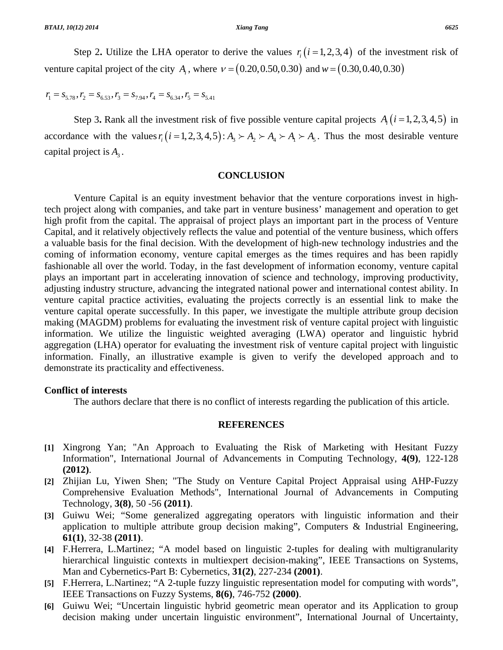Step 2. Utilize the LHA operator to derive the values  $r_i$  ( $i = 1, 2, 3, 4$ ) of the investment risk of venture capital project of the city *A<sub>i</sub>*, where  $v = (0.20, 0.50, 0.30)$  and  $w = (0.30, 0.40, 0.30)$ 

 $r_1 = S_{5,78}, r_2 = S_{6,53}, r_3 = S_{7,94}, r_4 = S_{6,34}, r_5 = S_{5,41}$ 

Step 3. Rank all the investment risk of five possible venture capital projects  $A_i$  ( $i = 1,2,3,4,5$ ) in accordance with the values  $r_i ( i = 1, 2, 3, 4, 5 ) : A_1 \succ A_2 \succ A_3 \succ A_4 \succ A_5$ . Thus the most desirable venture capital project is  $A_3$ .

## **CONCLUSION**

 Venture Capital is an equity investment behavior that the venture corporations invest in hightech project along with companies, and take part in venture business' management and operation to get high profit from the capital. The appraisal of project plays an important part in the process of Venture Capital, and it relatively objectively reflects the value and potential of the venture business, which offers a valuable basis for the final decision. With the development of high-new technology industries and the coming of information economy, venture capital emerges as the times requires and has been rapidly fashionable all over the world. Today, in the fast development of information economy, venture capital plays an important part in accelerating innovation of science and technology, improving productivity, adjusting industry structure, advancing the integrated national power and international contest ability. In venture capital practice activities, evaluating the projects correctly is an essential link to make the venture capital operate successfully. In this paper, we investigate the multiple attribute group decision making (MAGDM) problems for evaluating the investment risk of venture capital project with linguistic information. We utilize the linguistic weighted averaging (LWA) operator and linguistic hybrid aggregation (LHA) operator for evaluating the investment risk of venture capital project with linguistic information. Finally, an illustrative example is given to verify the developed approach and to demonstrate its practicality and effectiveness.

### **Conflict of interests**

The authors declare that there is no conflict of interests regarding the publication of this article.

# **REFERENCES**

- **[1]** Xingrong Yan; "An Approach to Evaluating the Risk of Marketing with Hesitant Fuzzy Information", International Journal of Advancements in Computing Technology, **4(9)**, 122-128 **(2012)**.
- **[2]** Zhijian Lu, Yiwen Shen; "The Study on Venture Capital Project Appraisal using AHP-Fuzzy Comprehensive Evaluation Methods", International Journal of Advancements in Computing Technology, **3(8)**, 50 -56 **(2011)**.
- **[3]** Guiwu Wei; "Some generalized aggregating operators with linguistic information and their application to multiple attribute group decision making", Computers & Industrial Engineering, **61(1)**, 32-38 **(2011)**.
- **[4]** F.Herrera, L.Martinez; "A model based on linguistic 2-tuples for dealing with multigranularity hierarchical linguistic contexts in multiexpert decision-making", IEEE Transactions on Systems, Man and Cybernetics-Part B: Cybernetics, **31(2)**, 227-234 **(2001)**.
- **[5]** F.Herrera, L.Nartinez; "A 2-tuple fuzzy linguistic representation model for computing with words", IEEE Transactions on Fuzzy Systems, **8(6)**, 746-752 **(2000)**.
- **[6]** Guiwu Wei; "Uncertain linguistic hybrid geometric mean operator and its Application to group decision making under uncertain linguistic environment", International Journal of Uncertainty,